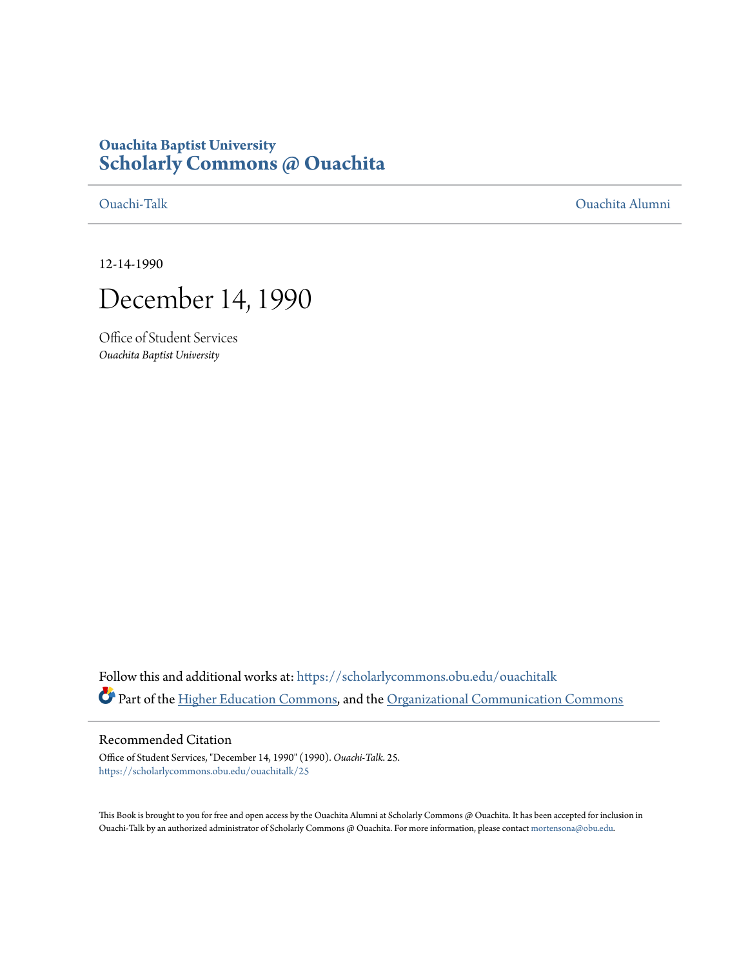# **Ouachita Baptist University [Scholarly Commons @ Ouachita](https://scholarlycommons.obu.edu?utm_source=scholarlycommons.obu.edu%2Fouachitalk%2F25&utm_medium=PDF&utm_campaign=PDFCoverPages)**

[Ouachi-Talk](https://scholarlycommons.obu.edu/ouachitalk?utm_source=scholarlycommons.obu.edu%2Fouachitalk%2F25&utm_medium=PDF&utm_campaign=PDFCoverPages) [Ouachita Alumni](https://scholarlycommons.obu.edu/obu_alum?utm_source=scholarlycommons.obu.edu%2Fouachitalk%2F25&utm_medium=PDF&utm_campaign=PDFCoverPages)

12-14-1990



Office of Student Services *Ouachita Baptist University*

Follow this and additional works at: [https://scholarlycommons.obu.edu/ouachitalk](https://scholarlycommons.obu.edu/ouachitalk?utm_source=scholarlycommons.obu.edu%2Fouachitalk%2F25&utm_medium=PDF&utm_campaign=PDFCoverPages) Part of the [Higher Education Commons](http://network.bepress.com/hgg/discipline/1245?utm_source=scholarlycommons.obu.edu%2Fouachitalk%2F25&utm_medium=PDF&utm_campaign=PDFCoverPages), and the [Organizational Communication Commons](http://network.bepress.com/hgg/discipline/335?utm_source=scholarlycommons.obu.edu%2Fouachitalk%2F25&utm_medium=PDF&utm_campaign=PDFCoverPages)

## Recommended Citation

Office of Student Services, "December 14, 1990" (1990). *Ouachi-Talk*. 25. [https://scholarlycommons.obu.edu/ouachitalk/25](https://scholarlycommons.obu.edu/ouachitalk/25?utm_source=scholarlycommons.obu.edu%2Fouachitalk%2F25&utm_medium=PDF&utm_campaign=PDFCoverPages)

This Book is brought to you for free and open access by the Ouachita Alumni at Scholarly Commons @ Ouachita. It has been accepted for inclusion in Ouachi-Talk by an authorized administrator of Scholarly Commons @ Ouachita. For more information, please contact [mortensona@obu.edu](mailto:mortensona@obu.edu).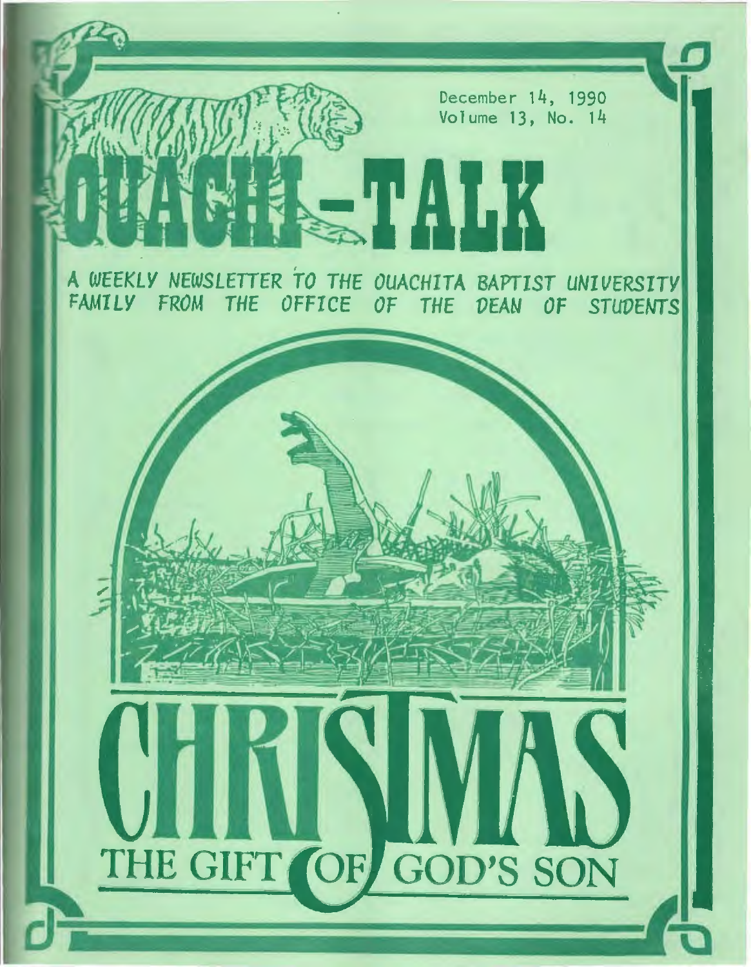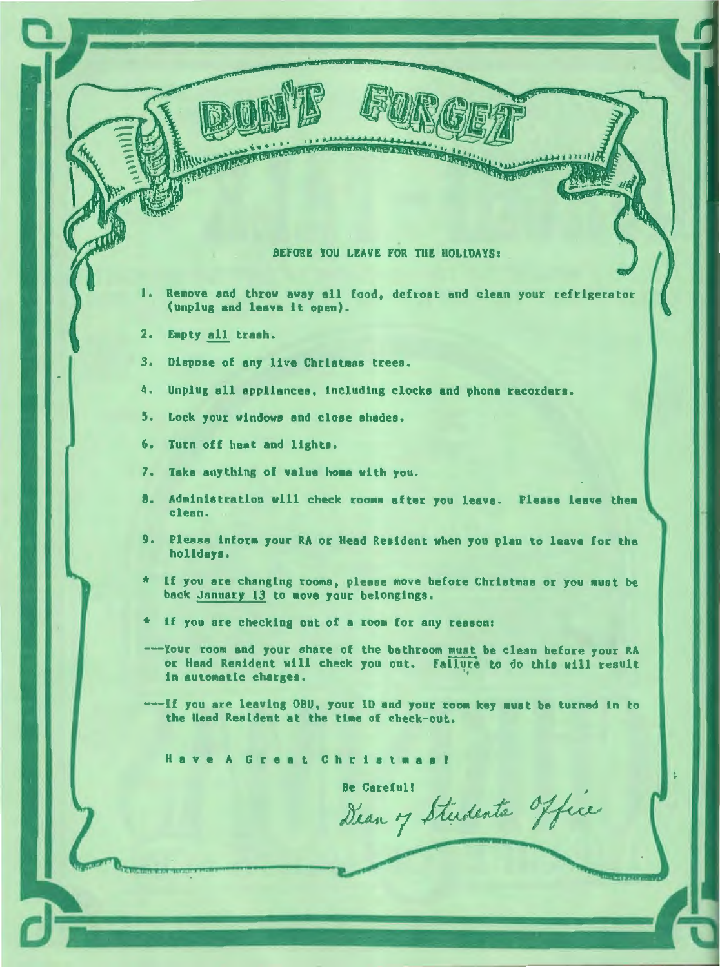#### BEFORE YOU LEAVE FOR THE HOLIDAYS:

- 1. Remove and throw away all food, defrost and clean your refrigerator (unplug and leave lt open).
- 2. Empty all trash.

**Contact Avenue** 

- 3. Dispose of any live Christmas trees.
- 4. Unplug all appliances, including clocks and phone recorders.
- 5. Lock your windows and close shades.
- 6. Turn off heat and lights.
- 7. Take anything of value home with you.
- 8. Administration will check rooms after you leave. Please leave them clean.
- 9. Please inform your RA or Head Resident when you plan to leave for the holidays.
- If you are changing rooms, please move before Christmas or you must be back January 13 to move your belongings.
- If you are checking out of a room for any reason:
- Your room and your share of the bathroom must be clean before your RA or Head Resident will check you out. failure to do thle w111 result in automatic charges.
- If you are leaving OBU, your ID and your room key must be turned in to the Head Resident at the time of check-out.

**reat Christmas!** 

**Be Careful!** Dean of Students office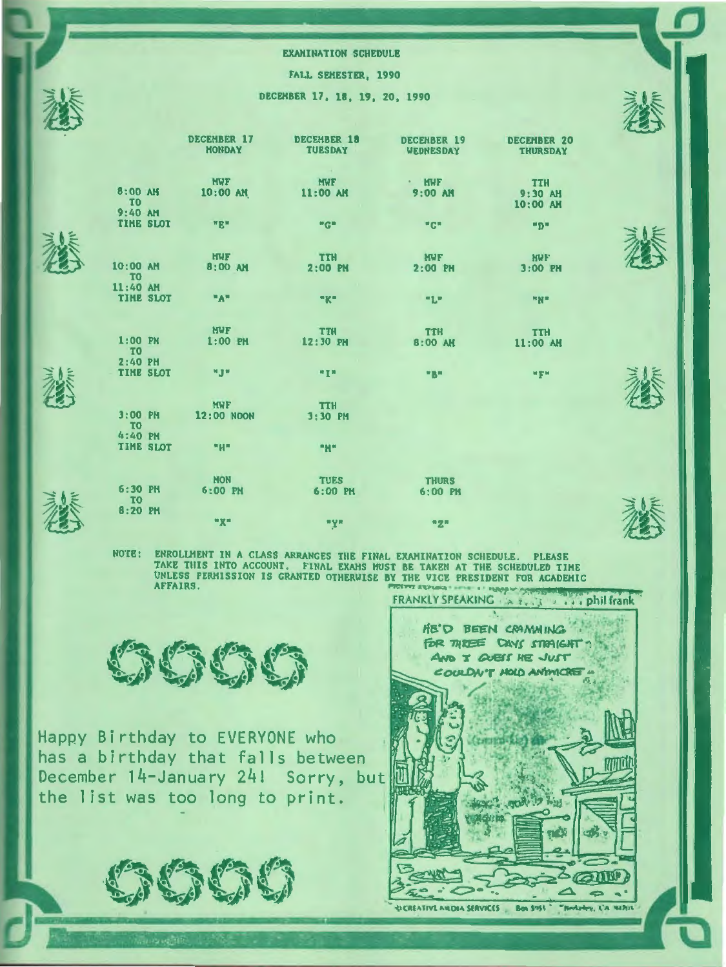

FALL SEMESTER, 1990

DECEMBER 17, 18, 19, 20, 1990

|                                                 | <b>DECEMBER 17</b><br><b>MONDAY</b> | <b>DECEMBER 18</b><br><b>TUESDAY</b>      | <b>DECEMBER 19</b><br><b>WEDNESDAY</b> | <b>DECEMBER 20</b><br><b>THURSDAY</b> |
|-------------------------------------------------|-------------------------------------|-------------------------------------------|----------------------------------------|---------------------------------------|
| 8:00 AM                                         | <b>MWF</b><br>$10:00$ AM            | <b>Contract</b><br><b>MWF</b><br>11:00 AM | · HWF<br>$9:00$ AM                     | <b>TTH</b><br>9:30 AM                 |
| T <sub>0</sub><br>$9:40$ AM<br><b>TIME SLOT</b> | <b>HR</b> <sup>H</sup>              | "G"                                       | $n \mathbf{G}$                         | 10:00 AM<br><b>HDH</b>                |
| 10:00 AM                                        | <b>HWF</b><br>8:00 AM               | <b>TTH</b><br>$2:00$ PM                   | <b>NWF</b><br>$2:00$ PM                | <b>NUF</b><br>$3:00$ PM               |
| <b>TO</b><br>11:40 AM<br>TIME SLOT              | "A"                                 | "K"                                       | 71.7                                   | <b>HN*</b>                            |
|                                                 | <b>NWF</b>                          | <b>TTH</b>                                | <b>TTH</b>                             | <b>TTH</b>                            |
| $1:00$ PM<br>T <sup>o</sup><br>2:40 PM          | $1:00$ PM                           | 12:30 PM                                  | 8:00 AM                                | 11:00 AM                              |
| <b>TIME SLOT</b>                                | <b>MJW</b>                          | 开车机                                       | <b>MEN</b>                             | wgw.                                  |
| $3:00$ PM<br>T <sub>0</sub>                     | <b>MWF</b><br><b>12:00 NOON</b>     | <b>TTH</b><br>3:30 PM                     |                                        |                                       |
| $4:40$ PM<br><b>TIME SLOT</b>                   | $-$ "H"                             | "N"                                       |                                        |                                       |
| $6:30$ PH                                       | <b>MON</b><br>6:00 PM               | <b>TUES</b><br>$6:00$ PM                  | <b>THURS</b><br>6:00 PM                |                                       |
| T <sub>0</sub><br>8:20 PM                       | <b>wgw</b>                          | <b>*Y*</b>                                | "Z"                                    |                                       |



 $\sim 12$ 

NOTE: ENROLLHENT IN A CLASS ARRANGES THE FINAL EXAMINATION SCHEDULE. PLEASE TAKE THIS INTO ACCOUNT. FINAL EXAMS HUST BE TAKEN AT THE SCHEDULED TIME UNLESS PERMISSION IS GRANTED OTHERWISE BY THE VICE PRESIDENT FOR ACADEMIC<br>AFFAIRS. FRANKlY SPEAKING . . ... frank



Happy Birthday to EVERYONE who has a birthday that falls between December 14-January 24! Sorry, but the list was too long to print.





**卷十** 

 $#$ 

**参** 

....,&~  $\mathbb Z$